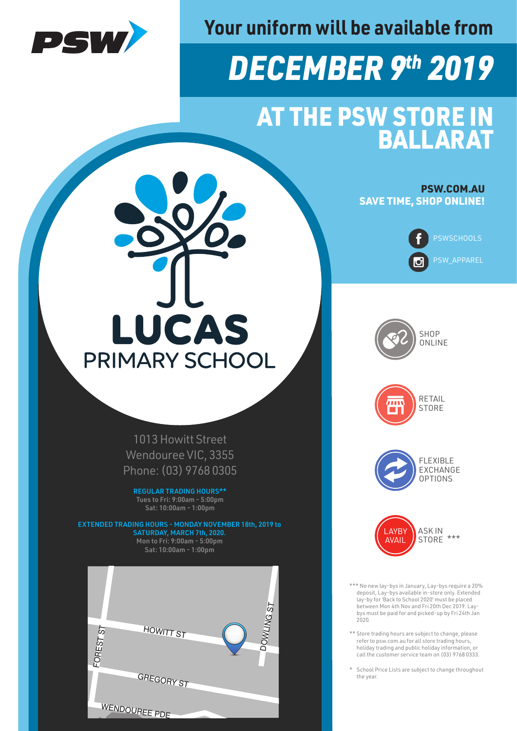

**Your uniform will be available from**

## *DECEMBER 9th 2019*

## AT THE PSW STORE IN BALLARAT

PSW.COM.AU SAVE TIME, SHOP ONLINE!







**STORE** 





\*\*\* No new lay-bys in January, Lay-bys require a 20% deposit, Lay-bys available in-store only. Extended lay-by for 'Back to School 2020' must be placed between Mon 4th Nov and Fri 20th Dec 2019. Laybys must be paid for and picked-up by Fri 24th Jan  $2020$ 

\*\* Store trading hours are subject to change, please refer to psw.com.au for all store trading hours, holiday trading and public holiday information, or call the customer service team on (03) 9768 0333.

\* School Price Lists are subject to change throughout the year.

## LUCAS **PRIMARY SCHOOL**

1013 Howitt Street Wendouree VIC, 3355 Phone: (03) 9768 0305

REGULAR TRADING HOURS\*\* Tues to Fri: 9:00am - 5:00pm Sat: 10:00am - 1:00pm

EXTENDED TRADING HOURS - MONDAY NOVEMBER 18th, 2019 to SATURDAY, MARCH 7th, 2020. Mon to Fri: 9:00am - 5:00pm Sat: 10:00am - 1:00pm